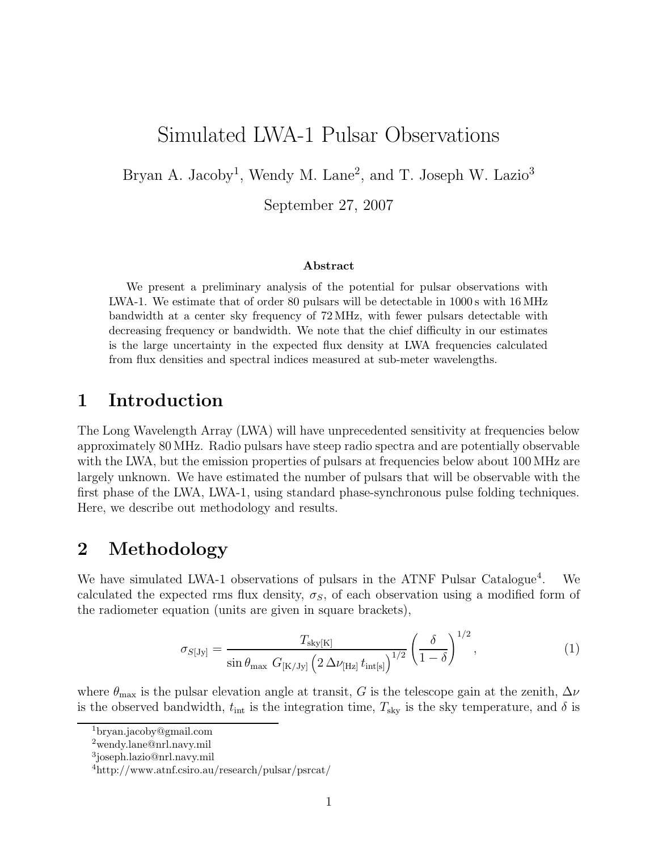# Simulated LWA-1 Pulsar Observations

Bryan A. Jacoby<sup>1</sup>, Wendy M. Lane<sup>2</sup>, and T. Joseph W. Lazio<sup>3</sup>

September 27, 2007

#### Abstract

We present a preliminary analysis of the potential for pulsar observations with LWA-1. We estimate that of order 80 pulsars will be detectable in 1000 s with 16 MHz bandwidth at a center sky frequency of 72 MHz, with fewer pulsars detectable with decreasing frequency or bandwidth. We note that the chief difficulty in our estimates is the large uncertainty in the expected flux density at LWA frequencies calculated from flux densities and spectral indices measured at sub-meter wavelengths.

## 1 Introduction

The Long Wavelength Array (LWA) will have unprecedented sensitivity at frequencies below approximately 80 MHz. Radio pulsars have steep radio spectra and are potentially observable with the LWA, but the emission properties of pulsars at frequencies below about 100 MHz are largely unknown. We have estimated the number of pulsars that will be observable with the first phase of the LWA, LWA-1, using standard phase-synchronous pulse folding techniques. Here, we describe out methodology and results.

# 2 Methodology

We have simulated LWA-1 observations of pulsars in the ATNF Pulsar Catalogue<sup>4</sup>. . We calculated the expected rms flux density,  $\sigma_S$ , of each observation using a modified form of the radiometer equation (units are given in square brackets),

$$
\sigma_{S[Jy]} = \frac{T_{\text{sky}[K]}}{\sin \theta_{\text{max}}} \frac{G_{[K/Jy]}(2 \Delta \nu_{\text{[Hz]}} t_{\text{int}[s]})^{1/2}} \left(\frac{\delta}{1-\delta}\right)^{1/2},\tag{1}
$$

where  $\theta_{\text{max}}$  is the pulsar elevation angle at transit, G is the telescope gain at the zenith,  $\Delta \nu$ is the observed bandwidth,  $t_{\text{int}}$  is the integration time,  $T_{\text{sky}}$  is the sky temperature, and  $\delta$  is

<sup>1</sup>bryan.jacoby@gmail.com

<sup>2</sup>wendy.lane@nrl.navy.mil

<sup>3</sup> joseph.lazio@nrl.navy.mil

<sup>4</sup>http://www.atnf.csiro.au/research/pulsar/psrcat/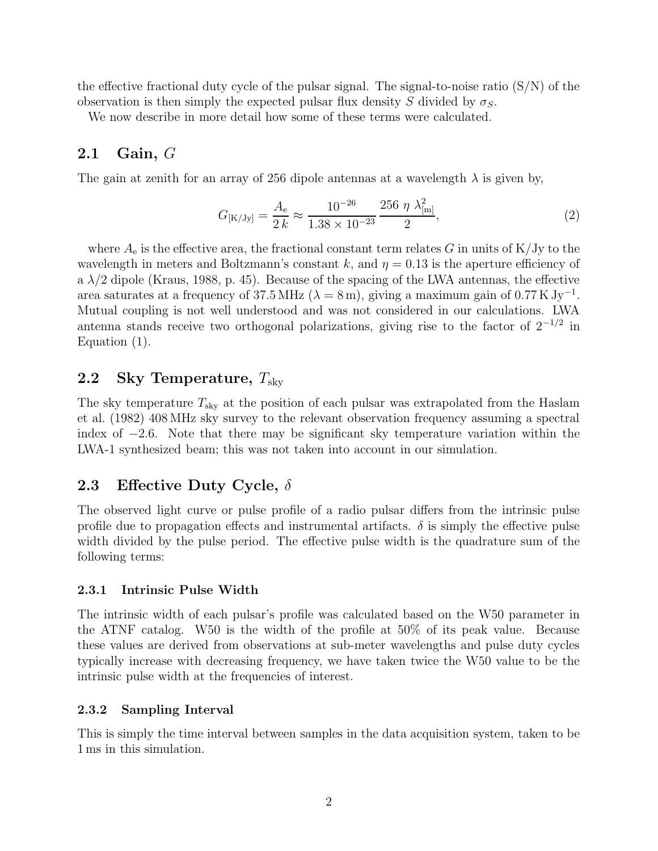the effective fractional duty cycle of the pulsar signal. The signal-to-noise ratio  $(S/N)$  of the observation is then simply the expected pulsar flux density S divided by  $\sigma_S$ .

We now describe in more detail how some of these terms were calculated.

### 2.1 Gain, G

The gain at zenith for an array of 256 dipole antennas at a wavelength  $\lambda$  is given by,

$$
G_{\text{[K/Jy]}} = \frac{A_{\text{e}}}{2 k} \approx \frac{10^{-26}}{1.38 \times 10^{-23}} \frac{256 \eta \lambda_{\text{[m]}}^2}{2},\tag{2}
$$

where  $A_e$  is the effective area, the fractional constant term relates G in units of K/Jy to the wavelength in meters and Boltzmann's constant k, and  $\eta = 0.13$  is the aperture efficiency of a  $\lambda/2$  dipole (Kraus, 1988, p. 45). Because of the spacing of the LWA antennas, the effective area saturates at a frequency of 37.5 MHz ( $\lambda = 8$  m), giving a maximum gain of 0.77 K Jy<sup>-1</sup>. Mutual coupling is not well understood and was not considered in our calculations. LWA antenna stands receive two orthogonal polarizations, giving rise to the factor of  $2^{-1/2}$  in Equation (1).

## 2.2 Sky Temperature,  $T_{\rm skv}$

The sky temperature  $T_{\rm sky}$  at the position of each pulsar was extrapolated from the Haslam et al. (1982) 408 MHz sky survey to the relevant observation frequency assuming a spectral index of  $-2.6$ . Note that there may be significant sky temperature variation within the LWA-1 synthesized beam; this was not taken into account in our simulation.

### 2.3 Effective Duty Cycle,  $\delta$

The observed light curve or pulse profile of a radio pulsar differs from the intrinsic pulse profile due to propagation effects and instrumental artifacts.  $\delta$  is simply the effective pulse width divided by the pulse period. The effective pulse width is the quadrature sum of the following terms:

#### 2.3.1 Intrinsic Pulse Width

The intrinsic width of each pulsar's profile was calculated based on the W50 parameter in the ATNF catalog. W50 is the width of the profile at 50% of its peak value. Because these values are derived from observations at sub-meter wavelengths and pulse duty cycles typically increase with decreasing frequency, we have taken twice the W50 value to be the intrinsic pulse width at the frequencies of interest.

#### 2.3.2 Sampling Interval

This is simply the time interval between samples in the data acquisition system, taken to be 1 ms in this simulation.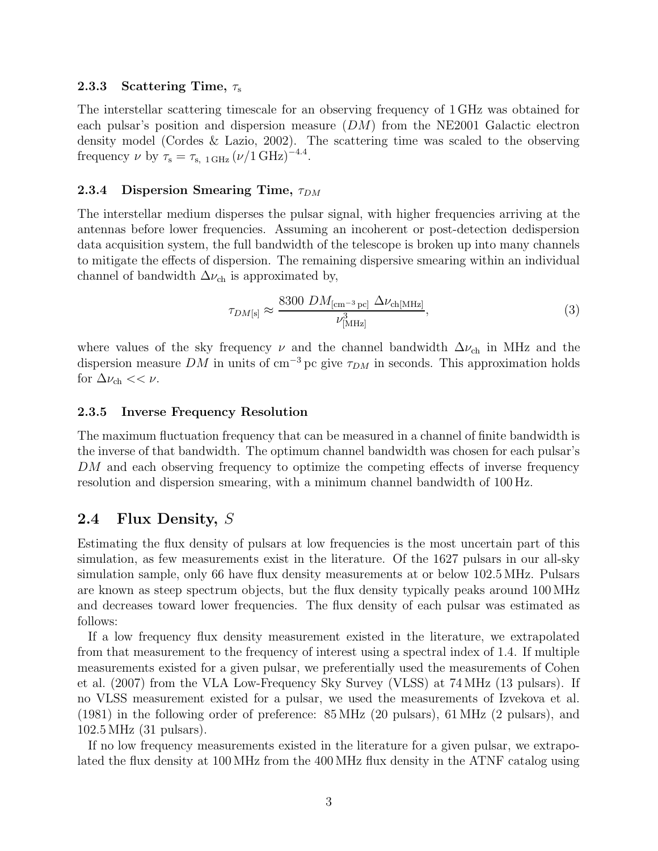#### 2.3.3 Scattering Time,  $\tau_{\rm s}$

The interstellar scattering timescale for an observing frequency of 1 GHz was obtained for each pulsar's position and dispersion measure  $(DM)$  from the NE2001 Galactic electron density model (Cordes & Lazio, 2002). The scattering time was scaled to the observing frequency  $\nu$  by  $\tau_s = \tau_{s, 1 \text{ GHz}} (\nu / 1 \text{ GHz})^{-4.4}$ .

#### 2.3.4 Dispersion Smearing Time,  $\tau_{DM}$

The interstellar medium disperses the pulsar signal, with higher frequencies arriving at the antennas before lower frequencies. Assuming an incoherent or post-detection dedispersion data acquisition system, the full bandwidth of the telescope is broken up into many channels to mitigate the effects of dispersion. The remaining dispersive smearing within an individual channel of bandwidth  $\Delta\nu_{ch}$  is approximated by,

$$
\tau_{DM[\text{s}]} \approx \frac{8300 \; DM_{\text{[cm}^{-3}\text{pc}]} \; \Delta\nu_{\text{ch}[\text{MHz}]}}{\nu_{\text{[MHz]}}^3},\tag{3}
$$

where values of the sky frequency  $\nu$  and the channel bandwidth  $\Delta \nu_{ch}$  in MHz and the dispersion measure DM in units of cm<sup>-3</sup> pc give  $\tau_{DM}$  in seconds. This approximation holds for  $\Delta \nu_{ch} << \nu$ .

#### 2.3.5 Inverse Frequency Resolution

The maximum fluctuation frequency that can be measured in a channel of finite bandwidth is the inverse of that bandwidth. The optimum channel bandwidth was chosen for each pulsar's DM and each observing frequency to optimize the competing effects of inverse frequency resolution and dispersion smearing, with a minimum channel bandwidth of 100 Hz.

## 2.4 Flux Density, S

Estimating the flux density of pulsars at low frequencies is the most uncertain part of this simulation, as few measurements exist in the literature. Of the 1627 pulsars in our all-sky simulation sample, only 66 have flux density measurements at or below 102.5 MHz. Pulsars are known as steep spectrum objects, but the flux density typically peaks around 100 MHz and decreases toward lower frequencies. The flux density of each pulsar was estimated as follows:

If a low frequency flux density measurement existed in the literature, we extrapolated from that measurement to the frequency of interest using a spectral index of 1.4. If multiple measurements existed for a given pulsar, we preferentially used the measurements of Cohen et al. (2007) from the VLA Low-Frequency Sky Survey (VLSS) at 74 MHz (13 pulsars). If no VLSS measurement existed for a pulsar, we used the measurements of Izvekova et al. (1981) in the following order of preference: 85 MHz (20 pulsars), 61 MHz (2 pulsars), and 102.5 MHz (31 pulsars).

If no low frequency measurements existed in the literature for a given pulsar, we extrapolated the flux density at 100 MHz from the 400 MHz flux density in the ATNF catalog using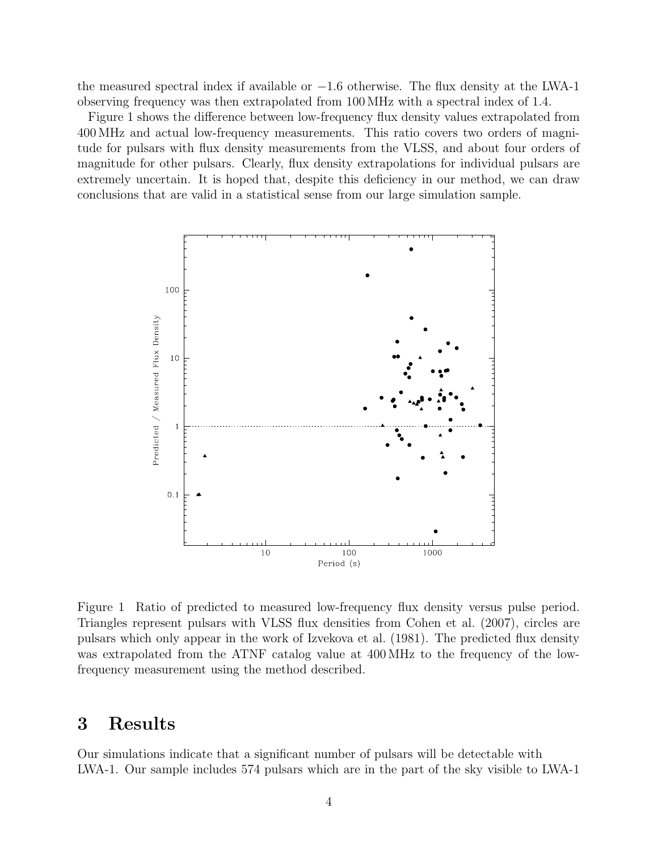the measured spectral index if available or  $-1.6$  otherwise. The flux density at the LWA-1 observing frequency was then extrapolated from 100 MHz with a spectral index of 1.4.

Figure 1 shows the difference between low-frequency flux density values extrapolated from 400 MHz and actual low-frequency measurements. This ratio covers two orders of magnitude for pulsars with flux density measurements from the VLSS, and about four orders of magnitude for other pulsars. Clearly, flux density extrapolations for individual pulsars are extremely uncertain. It is hoped that, despite this deficiency in our method, we can draw conclusions that are valid in a statistical sense from our large simulation sample.



Figure 1 Ratio of predicted to measured low-frequency flux density versus pulse period. Triangles represent pulsars with VLSS flux densities from Cohen et al. (2007), circles are pulsars which only appear in the work of Izvekova et al. (1981). The predicted flux density was extrapolated from the ATNF catalog value at 400 MHz to the frequency of the lowfrequency measurement using the method described.

# 3 Results

Our simulations indicate that a significant number of pulsars will be detectable with LWA-1. Our sample includes 574 pulsars which are in the part of the sky visible to LWA-1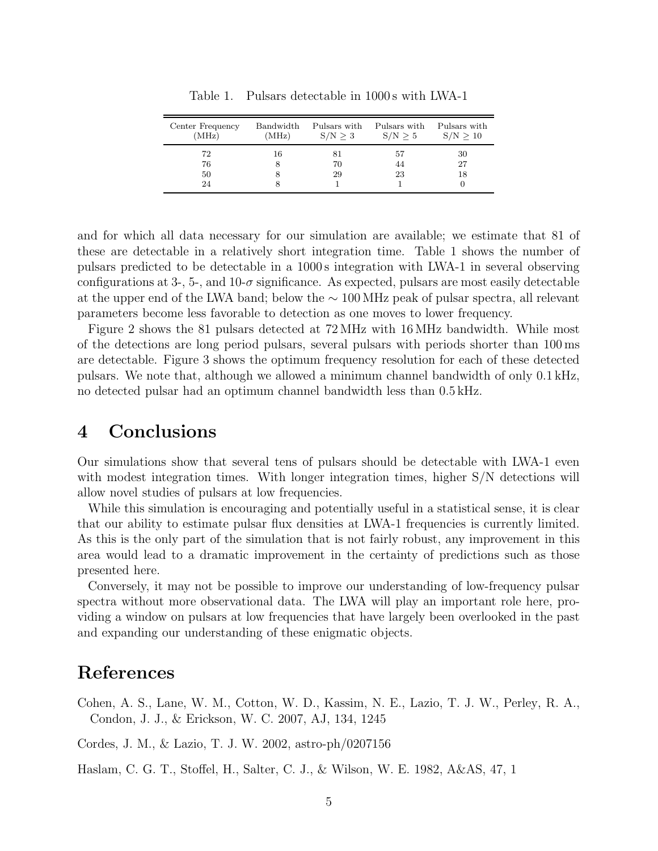| Center Frequency<br>(MHz) | Bandwidth<br>(MHz) | Pulsars with<br>S/N > 3 | Pulsars with<br>S/N > 5 | Pulsars with<br>S/N > 10 |
|---------------------------|--------------------|-------------------------|-------------------------|--------------------------|
| 72                        | 16                 |                         | 57                      | 30                       |
| 76                        | x                  | 70                      | 44                      | 27                       |
| 50                        | x                  | 29                      | 23                      | 18                       |
| 24                        |                    |                         |                         |                          |

Table 1. Pulsars detectable in 1000 s with LWA-1

and for which all data necessary for our simulation are available; we estimate that 81 of these are detectable in a relatively short integration time. Table 1 shows the number of pulsars predicted to be detectable in a 1000 s integration with LWA-1 in several observing configurations at 3-, 5-, and 10- $\sigma$  significance. As expected, pulsars are most easily detectable at the upper end of the LWA band; below the ∼ 100 MHz peak of pulsar spectra, all relevant parameters become less favorable to detection as one moves to lower frequency.

Figure 2 shows the 81 pulsars detected at 72 MHz with 16 MHz bandwidth. While most of the detections are long period pulsars, several pulsars with periods shorter than 100 ms are detectable. Figure 3 shows the optimum frequency resolution for each of these detected pulsars. We note that, although we allowed a minimum channel bandwidth of only 0.1 kHz, no detected pulsar had an optimum channel bandwidth less than 0.5 kHz.

# 4 Conclusions

Our simulations show that several tens of pulsars should be detectable with LWA-1 even with modest integration times. With longer integration times, higher S/N detections will allow novel studies of pulsars at low frequencies.

While this simulation is encouraging and potentially useful in a statistical sense, it is clear that our ability to estimate pulsar flux densities at LWA-1 frequencies is currently limited. As this is the only part of the simulation that is not fairly robust, any improvement in this area would lead to a dramatic improvement in the certainty of predictions such as those presented here.

Conversely, it may not be possible to improve our understanding of low-frequency pulsar spectra without more observational data. The LWA will play an important role here, providing a window on pulsars at low frequencies that have largely been overlooked in the past and expanding our understanding of these enigmatic objects.

# References

Cohen, A. S., Lane, W. M., Cotton, W. D., Kassim, N. E., Lazio, T. J. W., Perley, R. A., Condon, J. J., & Erickson, W. C. 2007, AJ, 134, 1245

Cordes, J. M., & Lazio, T. J. W. 2002, astro-ph/0207156

Haslam, C. G. T., Stoffel, H., Salter, C. J., & Wilson, W. E. 1982, A&AS, 47, 1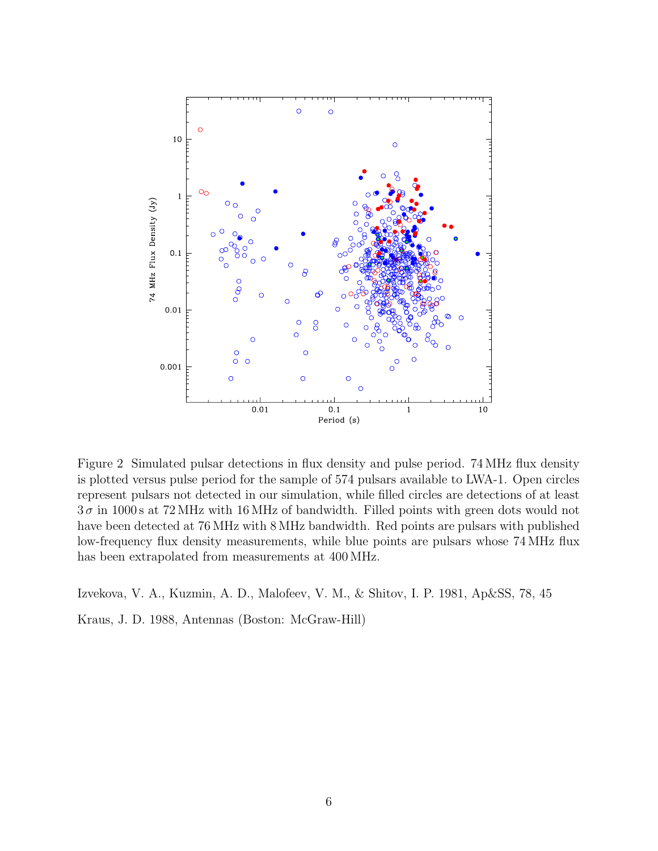

Figure 2 Simulated pulsar detections in flux density and pulse period. 74 MHz flux density is plotted versus pulse period for the sample of 574 pulsars available to LWA-1. Open circles represent pulsars not detected in our simulation, while filled circles are detections of at least  $3\sigma$  in 1000s at 72 MHz with 16 MHz of bandwidth. Filled points with green dots would not have been detected at 76 MHz with 8 MHz bandwidth. Red points are pulsars with published low-frequency flux density measurements, while blue points are pulsars whose 74 MHz flux has been extrapolated from measurements at 400 MHz.

Izvekova, V. A., Kuzmin, A. D., Malofeev, V. M., & Shitov, I. P. 1981, Ap&SS, 78, 45

Kraus, J. D. 1988, Antennas (Boston: McGraw-Hill)